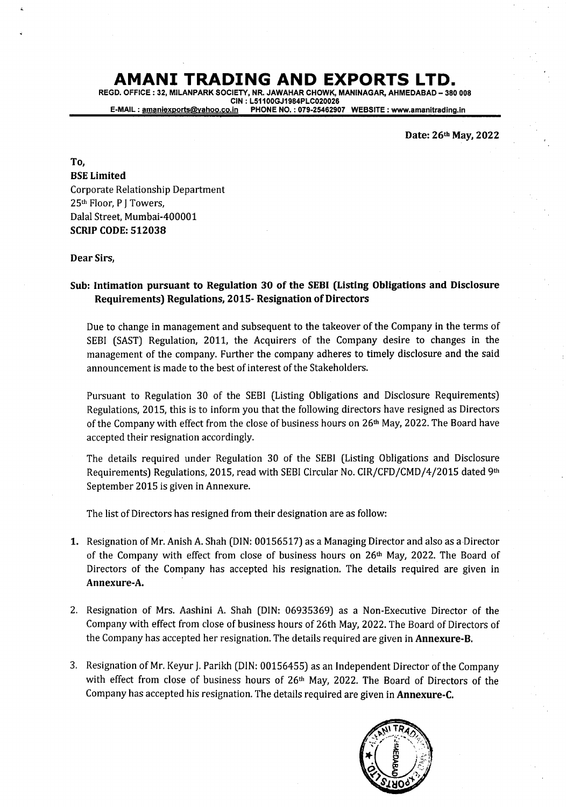REGD. OFFICE : 32, MILANPARK SOCIETY, NR. JAWAHAR CHOWK, MANINAGAR, AHMEDABAD - <sup>380</sup><sup>008</sup> CIN : L51100GJ1984PLC020026<br>E-MAIL : <u>amaniexports@yahoo.co.in</u> PHONE NO. : 079-2546290 PHONE NO.: 079-25462907 WEBSITE : www.amanitrading.in

Date: 26th May, 2022

To, BSE Limited Corporate Relationship Department 25<sup>th</sup> Floor, P J Towers, Dalal Street, Mumbai-4O0001 SCRIP CODE: 512038

### Dear Sirs,

## Sub: Intimation pursuant to Regulation 3O of the SEBI (Listing Obligations and Disclosure Requirements) Regulations, 2015-Resignation of Directors

Due to change in management and subsequent to the takeover of the Company in the terms of SEBI (SAST) Regulation, 2011, the Acquirers of the Company desire to changes in the management of the company. Further the company adheres to timely disclosure and the said announcement is made to the best of interest of the Stakeholders.

Pursuant to Regulation 30 of the SEBI (Listing Obligations and Disclosure Requirements) Regulations, 2015, this is to inform you that the following directors have resigned as Directors of the Company with effect from the close of business hours on  $26<sup>th</sup>$  May, 2022. The Board have accepted their resignation accordingly.

The details required under Regulation 30 of the SEBI (Listing Obligations and Disclosure Requirements) Regulations, 2015, read with SEBI Circular No. CIR/CFD/CMD/4/2015 dated 9th September 2015 is given in Annexure.

The list of Directors has resigned from their designation are as follow:

- 1. Resignation of Mr. Anish A. Shah (DIN: 00156517) as a Managing Director and also as a Director of the Company with effect from close of business hours on  $26<sup>th</sup>$  May, 2022. The Board of Directors of the Company has accepted his resignation. The details required are given in Annexure-A.
- 2. Resignation of Mrs. Aashini A. Shah (DIN: 06935369) as a Non-Executive Director of the Companywith effect from close of business hours of 26thMay,2022. The Board of Directors of the Company has accepted her resignation. The details required are given in Annexure-B.
- 3. Resignation of Mr. Keyur j. Parikh (DIN: 00156455) as an Independent Director of the Company with effect from close of business hours of 26<sup>th</sup> May, 2022. The Board of Directors of the Company has accepted his resignation. The details required are given in Annexure-C.

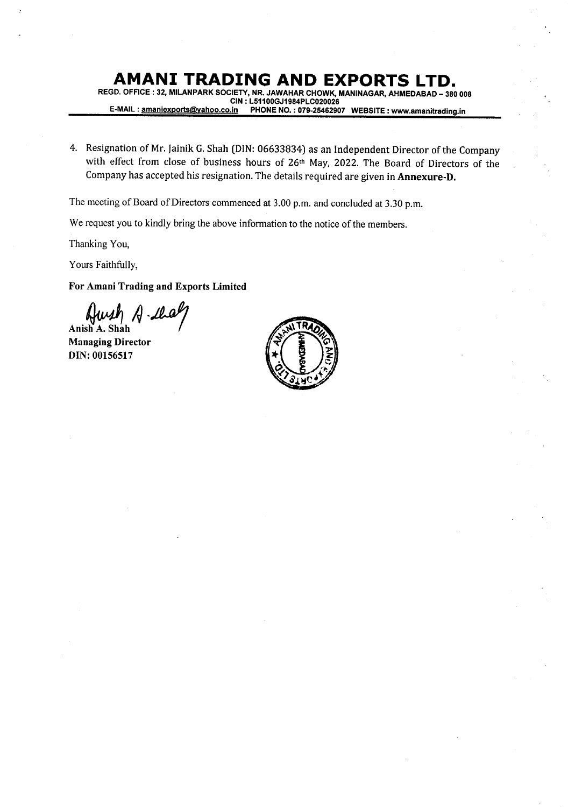REGD. OFFICE : 32, MILANPARK SOCIETY, NR. JAWAHAR CHOWK, MANINAGAR, AHMEDABAD - 380 008 CIN : L51100GJ1984PLC020026<br>E-MAIL : amaniexports@yahoo.co.in PHONE NO. : 079-2546290 PHONE NO.: 079-25462907 WEBSITE : www.amanitrading.in

4. Resignation of Mr. Jainik G. Shah (DIN: 06633834) as an Independent Director of the Company with effect from close of business hours of 26<sup>th</sup> May, 2022. The Board of Directors of the Company has accepted his resignation. The details required are given in Annexure-D.

The meeting of Board of Directors commenced at 3.00 p.m. and concluded at 3.30 p.m.

We request you to kindly bring the above information to the notice of the members.

Thanking You,

Yours Faithfully,

For Amani Trading and Exports Limited

Anish A. Shah

Managing Director DIN:00156517

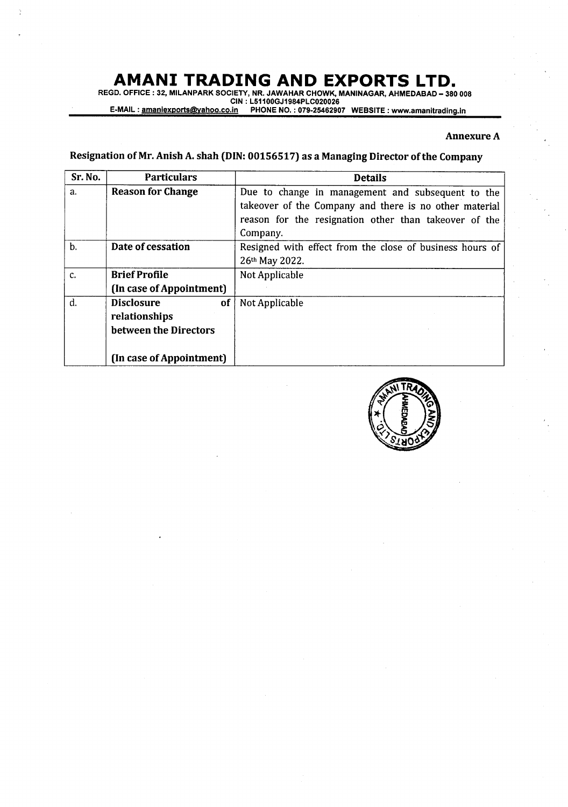REGD. OFFICE : 32, MILANPARK SOCIETY, NR. JAWAHAR CHOWK, MANINAGAR, AHMEDABAD – 380 008<br>CIN : L51100GJ1984PLC020026

E-MAIL:<u>amaniexports@yahoo.co.in</u> PHONE NO.:079-25462907 WEBSITE:www.amanitrading.ir

### Annexure A

## Resignation of Mr. Anish A. shah (DIN: 00156517) as a Managing Director of the Company

| Sr. No. | <b>Particulars</b>                   | <b>Details</b>                                           |
|---------|--------------------------------------|----------------------------------------------------------|
| a.      | <b>Reason for Change</b>             | Due to change in management and subsequent to the        |
|         |                                      | takeover of the Company and there is no other material   |
|         |                                      | reason for the resignation other than takeover of the    |
|         |                                      | Company.                                                 |
| b.      | Date of cessation                    | Resigned with effect from the close of business hours of |
|         |                                      | 26th May 2022.                                           |
| c.      | <b>Brief Profile</b>                 | Not Applicable                                           |
|         | (In case of Appointment)             |                                                          |
| d.      | <b>Disclosure</b><br>of <sub>1</sub> | Not Applicable                                           |
|         | relationships                        |                                                          |
|         | between the Directors                |                                                          |
|         |                                      |                                                          |
|         | (In case of Appointment)             |                                                          |

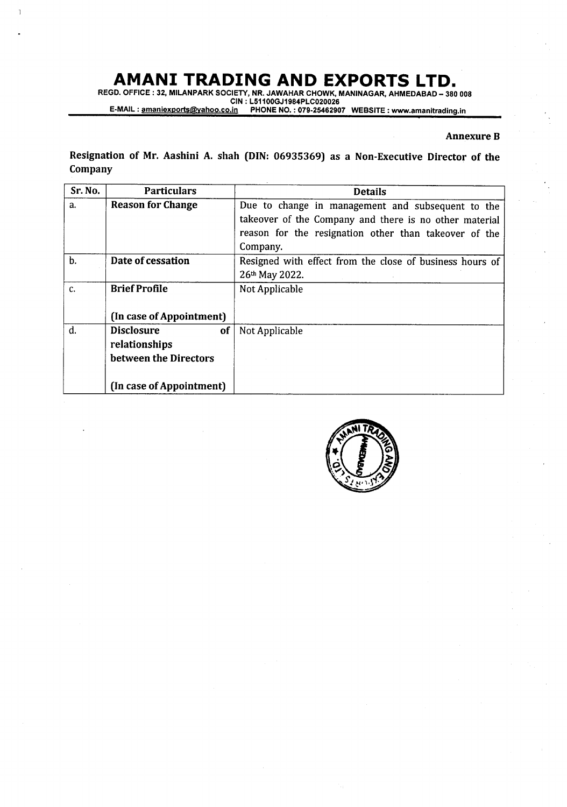<sup>1</sup>

AMANI TRADING AND EXPORTS LTD.<br>REGD. OFFICE : 32, MILANPARK SOCIETY, NR. JAWAHAR CHOWK, MANINAGAR, AHMEDABAD – 380 008<br>E-MAIL : <u>amaniexports@vahoo.co.in</u> PHONE NO. : 079-25462907 WEBSITE : www.amanitrading.in

### Annexure B

Resignation of Mr. Aashini A. shah (DIN: 06935369) as a Non-Executive Director of the Company

| Sr. No. | <b>Particulars</b>             | <b>Details</b>                                           |
|---------|--------------------------------|----------------------------------------------------------|
| a.      | <b>Reason for Change</b>       | Due to change in management and subsequent to the        |
|         |                                | takeover of the Company and there is no other material   |
|         |                                | reason for the resignation other than takeover of the    |
|         |                                | Company.                                                 |
| b.      | Date of cessation              | Resigned with effect from the close of business hours of |
|         |                                | 26th May 2022.                                           |
| c.      | <b>Brief Profile</b>           | Not Applicable                                           |
|         |                                |                                                          |
|         | (In case of Appointment)       |                                                          |
| d.      | <b>Disclosure</b><br><b>of</b> | Not Applicable                                           |
|         | relationships                  |                                                          |
|         | between the Directors          |                                                          |
|         |                                |                                                          |
|         | (In case of Appointment)       |                                                          |

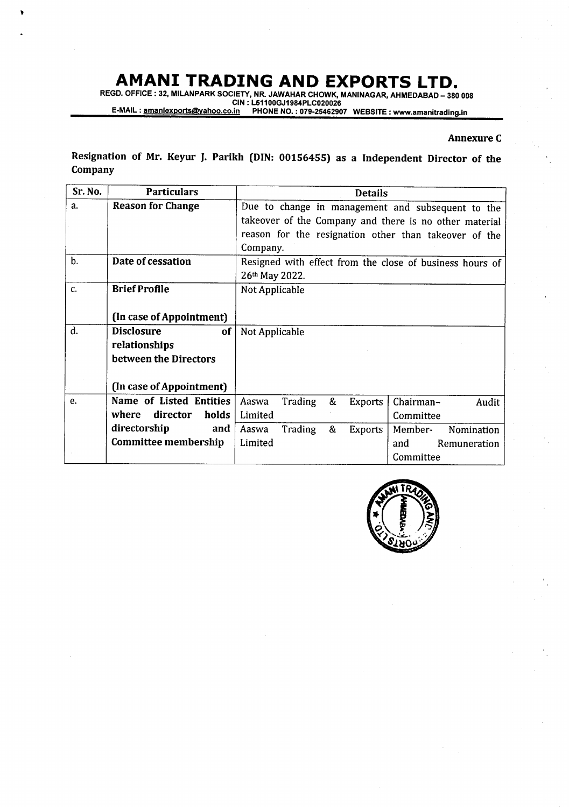I

REGD. OFFICE : 32, MILANPARK SOCIETY, NR. JAWAHAR CHOWK, MANINAGAR, AHMEDABAD - 380 008 CIN : L51100GJ1984PLC020026<br>E-MAIL : <u>amaniexports@yahoo.co.in</u> PHONE NO. : 079-25462907 WEBSITE : www.amanitrading.i

### Annexure <sup>C</sup>

Resignation of Mr. Keyur J. Parikh (DIN: 00156455) as a Independent Director of the Company

| Sr. No. | <b>Particulars</b>         | <b>Details</b>                                                |
|---------|----------------------------|---------------------------------------------------------------|
| a.      | <b>Reason for Change</b>   | Due to change in management and subsequent to the             |
|         |                            | takeover of the Company and there is no other material        |
|         |                            | reason for the resignation other than takeover of the         |
|         |                            | Company.                                                      |
| $b$ .   | Date of cessation          | Resigned with effect from the close of business hours of      |
|         |                            | 26th May 2022.                                                |
| c.      | <b>Brief Profile</b>       | Not Applicable                                                |
|         |                            |                                                               |
|         | (In case of Appointment)   |                                                               |
| d.      | <b>Disclosure</b><br>of    | Not Applicable                                                |
|         | relationships              |                                                               |
|         | between the Directors      |                                                               |
|         |                            |                                                               |
|         | (In case of Appointment)   |                                                               |
| e.      | Name of Listed Entities    | Trading<br>&<br>Aaswa<br>Chairman-<br><b>Exports</b><br>Audit |
|         | director<br>where<br>holds | Limited<br>Committee                                          |
|         | directorship<br>and        | Trading<br>&<br>Aaswa<br>Exports<br>Member-<br>Nomination     |
|         | Committee membership       | Limited<br>and<br>Remuneration                                |
|         |                            | Committee                                                     |